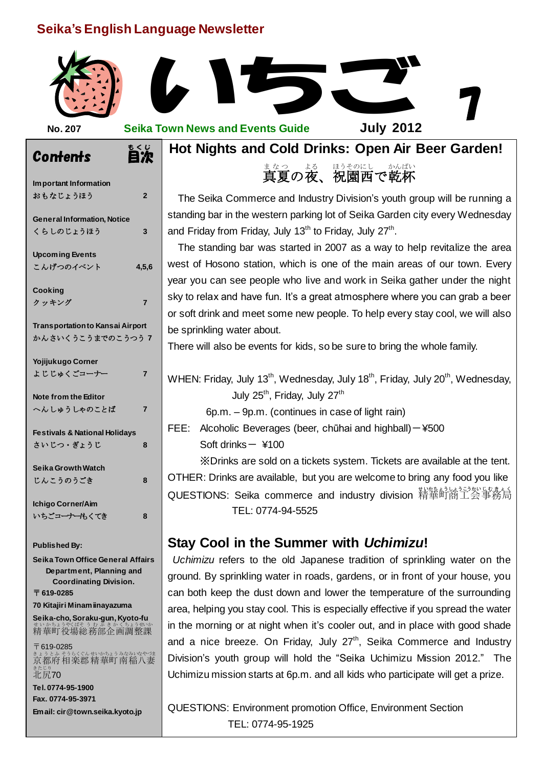## **Seika's English Language Newsletter**



 $\frac{1}{\mathbf{a}}$ **Hot Nights and Cold Drinks: Open Air Beer Garden!**

まなっ よる ほうそのにし かんぱい<br>**真夏の夜、祝園西で乾杯** ほうそのにし

The Seika Commerce and Industry Division's youth group will be running a<br>standing bar in the western parking lot of Seika Garden city every Wednesday The Seika Commerce and Industry Division's youth group will be running a and Friday from Friday, July 13<sup>th</sup> to Friday, July 27<sup>th</sup>.

The standing bar was started in 2007 as a way to help revitalize the area<br>west of Hosono station, which is one of the main areas of our town. Every The standing bar was started in 2007 as a way to help revitalize the area year you can see people who live and work in Seika gather under the night sky to relax and have fun. It's a great atmosphere where you can grab a beer or soft drink and meet some new people. To help every stay cool, we will also be sprinkling water about.

There will also be events for kids, so be sure to bring the whole family.

# WHEN: Friday, July 13<sup>th</sup>, Wednesday, July 18<sup>th</sup>, Friday, July 20<sup>th</sup>, Wednesday, July 25<sup>th</sup>, Friday, July 27<sup>th</sup>

6p.m. – 9p.m. (continues in case of light rain)

FEE: Alcoholic Beverages (beer, chūhai and highball) $-$ ¥500 Soft drinks $-$  ¥100

※Drinks are sold on a tickets system. Tickets are available at the tent. OTHER: Drinks are available, but you are welcome to bring any food you like QUESTIONS: Seika commerce and industry division 精華町商工会事務局 TEL: 0774-94-5525

# **Stay Cool in the Summer with** *Uchimizu***!**

*Uchimizu* refers to the old Japanese tradition of sprinkling water on the ground. By sprinkling water in roads, gardens, or in front of your house, you can both keep the dust down and lower the temperature of the surrounding area, helping you stay cool. This is especially effective if you spread the water in the morning or at night when it's cooler out, and in place with good shade and a nice breeze. On Friday, July  $27<sup>th</sup>$ , Seika Commerce and Industry Division's youth group will hold the "Seika Uchimizu Mission 2012." The Uchimizu mission starts at 6p.m. and all kids who participate will get a prize.

QUESTIONS: Environment promotion Office, Environment Section TEL: 0774-95-1925

| <b>Contents</b>                                                                                              | $\epsilon$<br>τ<br>ι |
|--------------------------------------------------------------------------------------------------------------|----------------------|
| Important Information<br>おもなじょうほう                                                                            | $\overline{2}$       |
| <b>General Information, Notice</b><br>くらしのじょうほう                                                              | 3                    |
| <b>Upcoming Events</b><br>こんげつのイベント                                                                          | 4,5,6                |
| Cooking<br>クッキング                                                                                             | 7                    |
| <b>Transportation to Kansai Airport</b><br>かんさいくうこうまでのこうつう 7                                                 |                      |
| Yojijukugo Corner<br>よじじゅくごコーナー                                                                              | 7                    |
| Note from the Editor<br>へんしゅうしゃのことば                                                                          | 7                    |
| <b>Festivals &amp; National Holidays</b><br>さいじつ・ぎょうじ                                                        | 8                    |
| Seika Growth Watch<br>じんこうのうごき                                                                               | 8                    |
| Ichigo Corner/Aim<br>いちごコーナーもくてき                                                                             | 8                    |
| <b>Published By:</b>                                                                                         |                      |
| Seika Town Office General Affairs<br>Department, Planning and<br><b>Coordinating Division.</b><br>〒 619-0285 |                      |
| 70 Kitajiri Minam iinayazuma                                                                                 |                      |
| Seika-cho, Soraku-gun, Kyoto-fu<br>せいかちょうやくば<br>むぶきかく<br>精華町役場総務部企画調整課                                       | うせいか<br>ちょ           |

〒619-0285 きょうとふ そうらくぐん せいかちょう みなみいなやづま<br>京都府 相楽郡 精華町 南稲八妻 <sub>きたじり</sub><br>北尻70

**Tel. 0774-95-1900 Fax. 0774-95-3971 Email: cir@town.seika.kyoto.jp**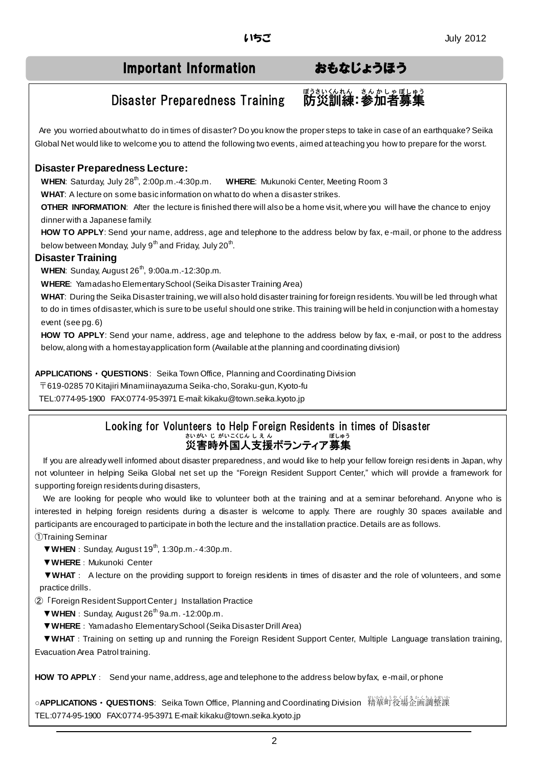# Important Information おもなじょうほう

<sub>ぼうさいくんん きんかしゃぼしゅう</sub><br>**防災訓練:参加者募集** 

# Disaster Preparedness Training

Are you worried about what to do in times of disaster? Do you know the proper steps to take in case of an earthquake? Seika Global Net would like to welcome you to attend the following two events, aimed at teaching you how to prepare for the worst.

## **Disaster Preparedness Lecture:**

**WHEN:** Saturday, July 28<sup>th</sup>, 2:00p.m.-4:30p.m. **WHERE:** Mukunoki Center, Meeting Room 3

**WHAT**: A lecture on some basic information on what to do when a disaster strikes.

**OTHER INFORMATION:** After the lecture is finished there will also be a home visit, where you will have the chance to enjoy dinner with a Japanese family.

**HOW TO APPLY**: Send your name, address, age and telephone to the address below by fax, e-mail, or phone to the address below between Monday, July 9 $^{\text{th}}$  and Friday, July 20 $^{\text{th}}$ .

### **Disaster Training**

**WHEN:** Sunday, August 26<sup>th</sup>, 9:00a.m.-12:30p.m.

**WHERE**: Yamadasho Elementary School (Seika Disaster Training Area)

**WHAT**: During the Seika Disaster training, we will also hold disaster training for foreign residents. You will be led through what to do in times of disaster, which is sure to be useful should one strike. This training will be held in conjunction with a homestay event (see pg. 6)

**HOW TO APPLY**: Send your name, address, age and telephone to the address below by fax, e-mail, or post to the address below, along with a homestay application form (Available at the planning and coordinating division)

**APPLICATIONS**・**QUESTIONS**: Seika Town Office, Planning and Coordinating Division

〒619-0285 70 Kitajiri Minamiinayazuma Seika-cho, Soraku-gun, Kyoto-fu

TEL:0774-95-1900 FAX:0774-95-3971 E-mail: kikaku@town.seika.kyoto.jp

#### Looking for Volunteers to Help Foreign Residents in times of Disaster 災害時外国人支援ボランティア募集 さいがい じ がいこくじん しえ ん ぼしゅう

If you are already well informed about disaster preparedness, and would like to help your fellow foreign resi dents in Japan, why not volunteer in helping Seika Global net set up the "Foreign Resident Support Center," which will provide a framework for supporting foreign residents during disasters,

We are looking for people who would like to volunteer both at the training and at a seminar beforehand. Anyone who is interested in helping foreign residents during a disaster is welcome to apply. There are roughly 30 spaces available and participants are encouraged to participate in both the lecture and the installation practice. Details are as follows.

①Training Seminar

▼ WHEN: Sunday, August 19<sup>th</sup>, 1:30p.m.- 4:30p.m.

▼**WHERE**:Mukunoki Center

▼**WHAT**: A lecture on the providing support to foreign residents in times of disaster and the role of volunteers, and some practice drills.

②「Foreign Resident Support Center」Installation Practice

▼ WHEN: Sunday, August 26<sup>th</sup> 9a.m. -12:00p.m.

▼**WHERE**:Yamadasho Elementary School (Seika Disaster Drill Area)

▼**WHAT**:Training on setting up and running the Foreign Resident Support Center, Multiple Language translation training, Evacuation Area Patrol training.

**HOW TO APPLY**: Send your name, address, age and telephone to the address below by fax, e-mail, or phone

○**APPLICATIONS・QUESTIONS**: Seika Town Office, Planning and Coordinating Division 精華町役場企画調整課 TEL:0774-95-1900 FAX:0774-95-3971 E-mail: kikaku@town.seika.kyoto.jp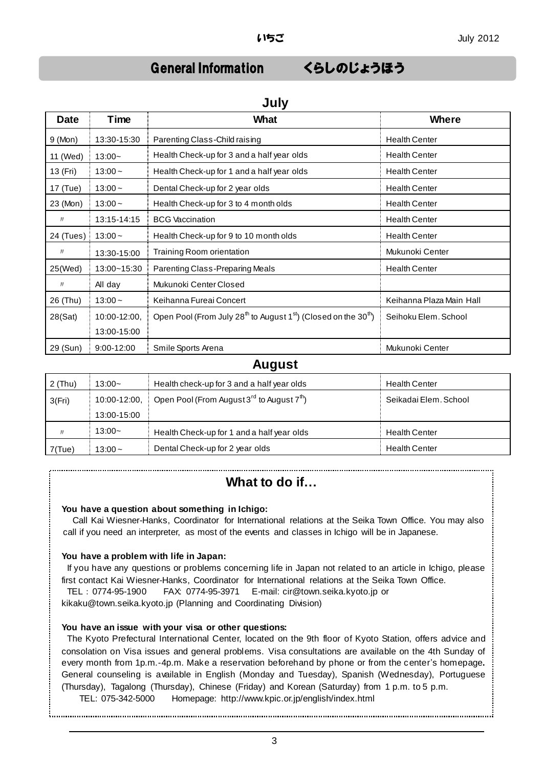**July**

## General Information くらしのじょうほう

| JUIY        |              |                                                                                                     |                          |  |
|-------------|--------------|-----------------------------------------------------------------------------------------------------|--------------------------|--|
| <b>Date</b> | Time         | <b>What</b>                                                                                         | Where                    |  |
| 9 (Mon)     | 13:30-15:30  | Parenting Class-Child raising                                                                       | <b>Health Center</b>     |  |
| 11 (Wed)    | $13:00-$     | Health Check-up for 3 and a half year olds                                                          | <b>Health Center</b>     |  |
| 13 (Fri)    | $13:00 -$    | Health Check-up for 1 and a half year olds                                                          | <b>Health Center</b>     |  |
| 17 (Tue)    | $13:00 -$    | Dental Check-up for 2 year olds                                                                     | <b>Health Center</b>     |  |
| 23 (Mon)    | $13:00 -$    | Health Check-up for 3 to 4 month olds                                                               | <b>Health Center</b>     |  |
| IJ          | 13:15-14:15  | <b>BCG</b> Vaccination                                                                              | <b>Health Center</b>     |  |
| 24 (Tues)   | $13:00 -$    | Health Check-up for 9 to 10 month olds                                                              | <b>Health Center</b>     |  |
| IJ          | 13:30-15:00  | Training Room orientation                                                                           | Mukunoki Center          |  |
| 25(Wed)     | 13:00~15:30  | Parenting Class-Preparing Meals                                                                     | <b>Health Center</b>     |  |
| IJ          | All day      | Mukunoki Center Closed                                                                              |                          |  |
| 26 (Thu)    | $13:00 -$    | Keihanna Fureai Concert                                                                             | Keihanna Plaza Main Hall |  |
| 28(Sat)     | 10:00-12:00, | Open Pool (From July 28 <sup>th</sup> to August 1 <sup>st</sup> ) (Closed on the 30 <sup>th</sup> ) | Seihoku Elem. School     |  |
|             | 13:00-15:00  |                                                                                                     |                          |  |
| 29 (Sun)    | 9:00-12:00   | Smile Sports Arena                                                                                  | Mukunoki Center          |  |

## **August**

| $2$ (Thu)  | $3:00-$     | Health check-up for 3 and a half year olds                            | <b>Health Center</b>  |
|------------|-------------|-----------------------------------------------------------------------|-----------------------|
| 3(Fri)     |             | 10:00-12:00, Open Pool (From August 3 <sup>rd</sup> to August $7th$ ) | Seikadai Elem, School |
|            | 13:00-15:00 |                                                                       |                       |
| $J\bar{J}$ | 13:00~      | Health Check-up for 1 and a half year olds                            | <b>Health Center</b>  |
| $7$ (Tue)  | $13:00 -$   | Dental Check-up for 2 year olds                                       | <b>Health Center</b>  |

## **What to do if…**

### **You have a question about something in Ichigo:**

Call Kai Wiesner-Hanks, Coordinator for International relations at the Seika Town Office. You may also call if you need an interpreter, as most of the events and classes in Ichigo will be in Japanese.

### **You have a problem with life in Japan:**

If you have any questions or problems concerning life in Japan not related to an article in Ichigo, please first contact Kai Wiesner-Hanks, Coordinator for International relations at the Seika Town Office.

TEL:0774-95-1900 FAX: 0774-95-3971 E-mail: cir@town.seika.kyoto.jp or

kikaku@town.seika.kyoto.jp (Planning and Coordinating Division)

### **You have an issue with your visa or other questions:**

The Kyoto Prefectural International Center, located on the 9th floor of Kyoto Station, offers advice and consolation on Visa issues and general problems. Visa consultations are available on the 4th Sunday of every month from 1p.m.-4p.m. Make a reservation beforehand by phone or from the center's homepage**.** General counseling is available in English (Monday and Tuesday), Spanish (Wednesday), Portuguese (Thursday), Tagalong (Thursday), Chinese (Friday) and Korean (Saturday) from 1 p.m. to 5 p.m.

TEL: 075-342-5000 Homepage: http://www.kpic.or.jp/english/index.html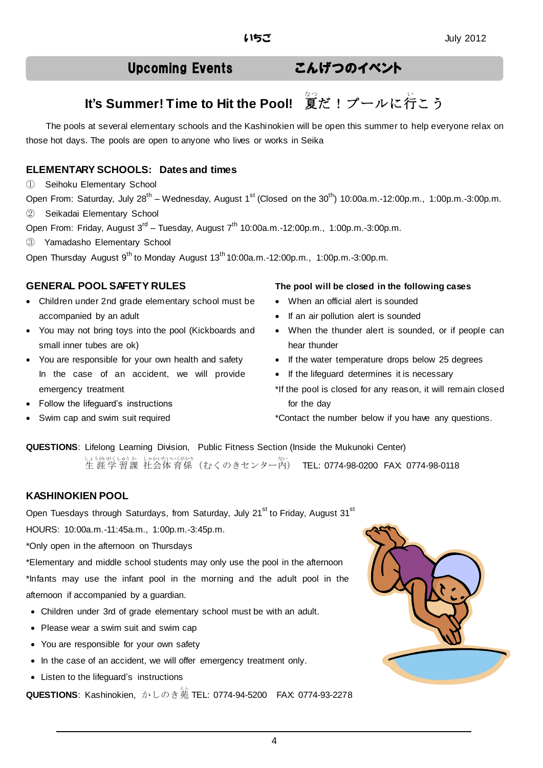# Upcoming Events こんげつのイベント

# It's Summer! Time to Hit the Pool! ේ夏だ!プールに行こう

The pools at several elementary schools and the Kashinokien will be open this summer to help everyone relax on those hot days. The pools are open to anyone who lives or works in Seika

## **ELEMENTARY SCHOOLS: Dates and times**

① Seihoku Elementary School

Open From: Saturday, July 28<sup>th</sup> – Wednesday, August 1<sup>st</sup> (Closed on the 30<sup>th</sup>) 10:00a.m.-12:00p.m., 1:00p.m.-3:00p.m.

② Seikadai Elementary School

Open From: Friday, August 3<sup>rd</sup> – Tuesday, August 7<sup>th</sup> 10:00a.m.-12:00p.m., 1:00p.m.-3:00p.m.

③ Yamadasho Elementary School

Open Thursday August 9<sup>th</sup> to Monday August 13<sup>th</sup> 10:00a.m.-12:00p.m., 1:00p.m.-3:00p.m.

- Children under 2nd grade elementary school must be accompanied by an adult
- You may not bring toys into the pool (Kickboards and small inner tubes are ok)
- You are responsible for your own health and safety In the case of an accident, we will provide emergency treatment
- Follow the lifeguard's instructions
- Swim cap and swim suit required

### **GENERAL POOL SAFETY RULES The pool will be closed in the following cases**

- When an official alert is sounded
- If an air pollution alert is sounded
- When the thunder alert is sounded, or if people can hear thunder
- If the water temperature drops below 25 degrees
- If the lifeguard determines it is necessary
- \*If the pool is closed for any reason, it will remain closed for the day

\*Contact the number below if you have any questions.

**QUESTIONS**: Lifelong Learning Division, Public Fitness Section (Inside the Mukunoki Center) しょうかがくしゅうか しゃかいたいいくがかり<br>生 涯 学 習 課 社会体 育 係 (むく のきセンター内) TEL: 0774-98-0200 FAX: 0774-98-0118

## **KASHINOKIEN POOL**

Open Tuesdays through Saturdays, from Saturday, July 21<sup>st</sup> to Friday, August 31<sup>st</sup>

HOURS: 10:00a.m.-11:45a.m., 1:00p.m.-3:45p.m.

\*Only open in the afternoon on Thursdays

\*Elementary and middle school students may only use the pool in the afternoon \*Infants may use the infant pool in the morning and the adult pool in the afternoon if accompanied by a guardian.

- Children under 3rd of grade elementary school must be with an adult.
- Please wear a swim suit and swim cap
- You are responsible for your own safety
- In the case of an accident, we will offer emergency treatment only.
- Listen to the lifeguard's instructions

**QUESTIONS:** Kashinokien, かしのき苑 TEL: 0774-94-5200 FAX: 0774-93-2278

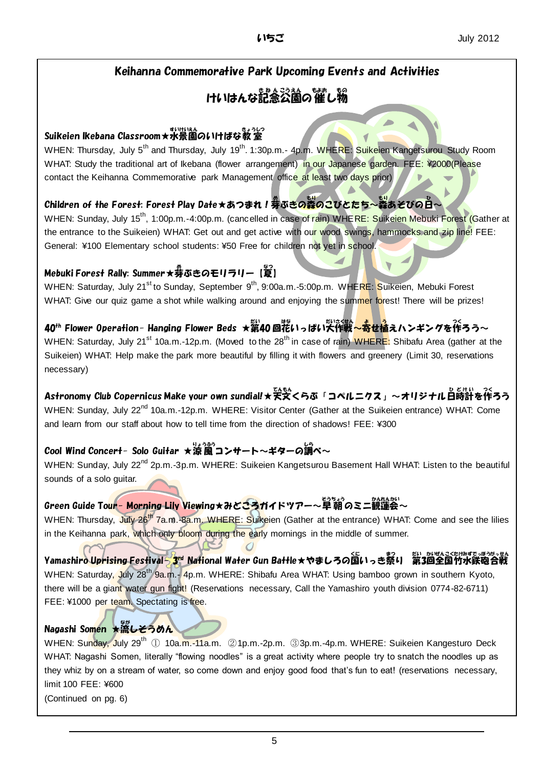## Keihanna Commemorative Park Upcoming Events and Activities

# けいはんな記念公園の催し物

## Suikeien Ikebana Classroom★水景 すいけい 園 えん のいけばな教 室 きょうしつ

WHEN: Thursday, July 5<sup>th</sup> and Thursday, July 19<sup>th</sup>. 1:30p.m.- 4p.m. WHERE: Suikeien Kangetsurou Study Room WHAT: Study the traditional art of Ikebana (flower arrangement) in our Japanese garden. FEE: ¥2000(Please contact the Keihanna Commemorative park Management office at least two days prior)

## Children of the Forest: Forest Play Date★あつまれ!券ぶ<mark>きの蒸</mark>のこびとたち~蒸あそびの白~

WHEN: Sunday, July 15<sup>th</sup>, 1:00p.m.-4:00p.m. (cancelled in case of rain) WHERE: Suikeien Mebuki Forest (Gather at the entrance to the Suikeien) WHAT: Get out and get active with our wood swings, hammocks and zip line! FEE: General: ¥100 Elementary school students: ¥50 Free for children not yet in school.

## Mebuki Forest Rally: Summer★券ぶきのモリラリー【敻】

WHEN: Saturday, July 21<sup>st</sup> to Sunday, September 9<sup>th</sup>, 9:00a.m.-5:00p.m. WHERE: Suikeien, Mebuki Forest WHAT: Give our quiz game a shot while walking around and enjoying the summer forest! There will be prizes!

## 40<sup>th</sup> Flower Operation- Hanging Flower Beds ★第40回花いっぱい大作戦<mark>~寄せ植</mark>えハンギングを作ろう~

WHEN: Saturday, July 21<sup>st</sup> 10a.m.-12p.m. (Moved to the 28<sup>th</sup> in case of rain) WHERE: Shibafu Area (gather at the Suikeien) WHAT: Help make the park more beautiful by filling it with flowers and greenery (Limit 30, reservations necessary)

Astronomy Club Copernicus Make your own sundial!★天文くらぶ「コペルニクス」~オリジナル白時計を作ろう WHEN: Sunday, July 22<sup>nd</sup> 10a.m.-12p.m. WHERE: Visitor Center (Gather at the Suikeien entrance) WHAT: Come and learn from our staff about how to tell time from the direction of shadows! FEE: ¥300

## Cool Wind Concert- Solo Guitar ★涼風コンサート〜ギターの調べ〜

WHEN: Sunday, July 22<sup>nd</sup> 2p.m.-3p.m. WHERE: Suikeien Kangetsurou Basement Hall WHAT: Listen to the beautiful sounds of a solo guitar.

## Green Guide To<mark>ur- Morning Lily View</mark>ing★みどころガイドツアー~早 朝 のミニ観蓮会~

WHEN: Thursday, July 26<sup>th</sup> 7a.m.-8a.m. WHERE: Suikeien (Gather at the entrance) WHAT: Come and see the lilies in the Keihanna park, which only bloom during the early mornings in the middle of summer.

Yamashiro Uprising Festival〜3<sup>pd</sup> National Water Gun Battle★やましろの国いっき祭り 第3回全国竹水鉄砲合戦 WHEN: Saturday, July 28<sup>th</sup> 9a.m.- 4p.m. WHERE: Shibafu Area WHAT: Using bamboo grown in southern Kyoto, there will be a giant water gun fight! (Reservations necessary, Call the Yamashiro youth division 0774-82-6711) FEE: ¥1000 per team. Spectating is free.

## Nagashi Somen ★流しそうめん

WHEN: Sunday, July 29<sup>th</sup> ① 10a.m.-11a.m. ②1p.m.-2p.m. ③3p.m.-4p.m. WHERE: Suikeien Kangesturo Deck WHAT: Nagashi Somen, literally "flowing noodles" is a great activity where people try to snatch the noodles up as they whiz by on a stream of water, so come down and enjoy good food that's fun to eat! (reservations necessary, limit 100 FEE: ¥600

(Continued on pg. 6)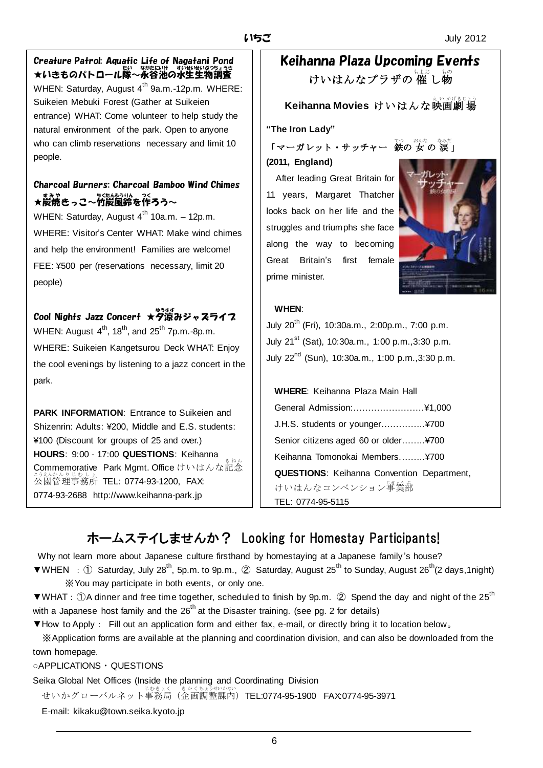## Creature Patrol: Aquatic Life of Nagatani Pond ★いきものパトロール隊~永谷池の水生生物調査 WHEN: Saturday, August  $4^{th}$  9a.m.-12p.m. WHERE: Suikeien Mebuki Forest (Gather at Suikeien entrance) WHAT: Come volunteer to help study the natural environment of the park. Open to anyone

who can climb reservations necessary and limit 10 people.

## Charcoal Burners: Charcoal Bamboo Wind Chimes ★炭焼きっこ~竹炭風鈴を作ろう~

WHEN: Saturday, August  $4^{th}$  10a.m. - 12p.m. WHERE: Visitor's Center WHAT: Make wind chimes and help the environment! Families are welcome! FEE: ¥500 per (reservations necessary, limit 20 people)

# Cool Nights Jazz Concert ★夕涼みジャスライフ

WHEN: August  $4<sup>th</sup>$ , 18<sup>th</sup>, and 25<sup>th</sup> 7p.m.-8p.m. WHERE: Suikeien Kangetsurou Deck WHAT: Enjoy the cool evenings by listening to a jazz concert in the park.

**PARK INFORMATION**: Entrance to Suikeien and Shizenrin: Adults: ¥200, Middle and E.S. students: ¥100 (Discount for groups of 25 and over.) **HOURS**: 9:00 - 17:00 **QUESTIONS**: Keihanna Commemorative Park Mgmt. Office けいはんな記念 きねん <u>こうえんかんりじむしょ</u><br>公園管理事務所 TEL: 0774-93-1200, FAX: 0774-93-2688 http://www.keihanna-park.jp

# Keihanna Plaza Upcoming Events けいはんなプラザの 催 し物

**Keihanna Movies けいはんな映画劇場** 

**"The Iron Lady"**

「マーガレット・サッチャー 鉄の 女の 涙」 **(2011, England)**

 After leading Great Britain for 11 years, Margaret Thatcher looks back on her life and the struggles and triumphs she face along the way to becoming Great Britain's first female prime minister.



## **WHEN**:

July  $20^{th}$  (Fri), 10:30a.m., 2:00p.m., 7:00 p.m. July  $21^{st}$  (Sat), 10:30a.m., 1:00 p.m., 3:30 p.m. July 22<sup>nd</sup> (Sun), 10:30a.m., 1:00 p.m., 3:30 p.m.

| <b>WHERE:</b> Keihanna Plaza Main Hall            |  |
|---------------------------------------------------|--|
|                                                   |  |
| J.H.S. students or younger¥700                    |  |
| Senior citizens aged 60 or older¥700              |  |
| Keihanna Tomonokai Members¥700                    |  |
| <b>QUESTIONS: Keihanna Convention Department,</b> |  |
| けいはんなコンベンション <sup>肇</sup> 業部                      |  |
| TEL: 0774-95-5115                                 |  |

# ホームステイしませんか? Looking for Homestay Participants!

Why not learn more about Japanese culture firsthand by homestaying at a Japanese family 's house?  $\nabla W$ HEN : ① Saturday, July 28<sup>th</sup>, 5p.m. to 9p.m., ② Saturday, August 25<sup>th</sup> to Sunday, August 26<sup>th</sup>(2 days,1night)

※You may participate in both events, or only one.

 $\nabla W$ HAT: ①A dinner and free time together, scheduled to finish by 9p.m. ② Spend the day and night of the 25<sup>th</sup> with a Japanese host family and the  $26<sup>th</sup>$  at the Disaster training. (see pg. 2 for details)

▼How to Apply: Fill out an application form and either fax, e-mail, or directly bring it to location below。

※Application forms are available at the planning and coordination division, and can also be downloaded from the town homepage.

## ○APPLICATIONS・QUESTIONS

Seika Global Net Offices (Inside the planning and Coordinating Division

せいかグローバルネット事務局(企画調整課内)**TEL:0774-95-1900 FAX:0774-95-3971** 

E-mail: kikaku@town.seika.kyoto.jp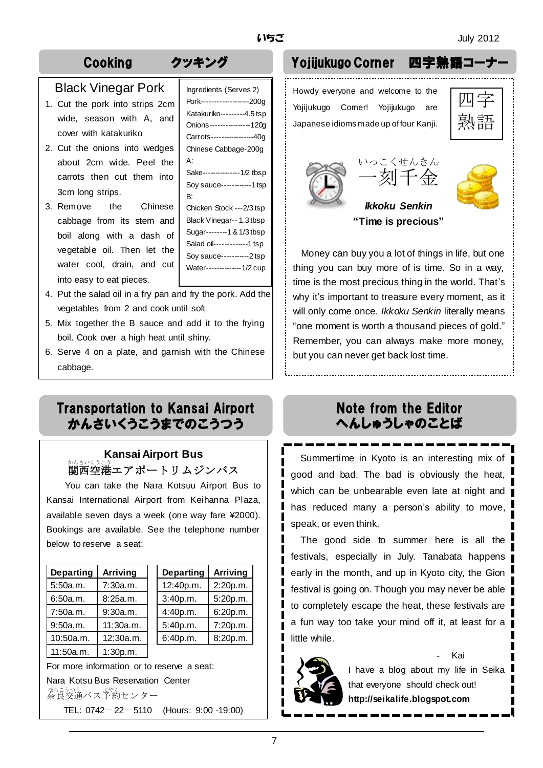## Black Vinegar Pork

- 1. Cut the pork into strips 2cm wide, season with A, and cover with katakuriko
- 2. Cut the onions into wedges about 2cm wide. Peel the carrots then cut them into 3cm long strips.
- 3. Remove the Chinese cabbage from its stem and boil along with a dash of vegetable oil. Then let the water cool, drain, and cut into easy to eat pieces.

| Ingredients (Serves 2)     |
|----------------------------|
|                            |
| Pork------------------200g |
| Katakuriko---------4.5 tsp |
| Onions--------------120g   |
| Carrots--------------40g   |
| Chinese Cabbage-200g       |
| A۰                         |
| Sake--------------1/2 tbsp |
| Soy sauce-----------1 tsp  |
| B۰                         |
|                            |

Chicken Stock ---2/3 tsp Black Vinegar-- 1.3 tbsp Sugar--------1 & 1/3 tbsp Salad oil-------------1 tsp Soy sauce-----------2 tsp Water--------------1/2 cup

- 4. Put the salad oil in a fry pan and fry the pork. Add the vegetables from 2 and cook until soft
- 5. Mix together the B sauce and add it to the frying boil. Cook over a high heat until shiny.
- 6. Serve 4 on a plate, and garnish with the Chinese cabbage.

## Transportation to Kansai Airport かんさいくうこうまでのこうつう

## **Kansai Airport Bus** 。<br>関西空港エアポートリムジンバス

You can take the Nara Kotsuu Airport Bus to Kansai International Airport from Keihanna Plaza, available seven days a week (one way fare ¥2000). Bookings are available. See the telephone number below to reserve a seat:

| <b>Departing</b> | <b>Arriving</b> |
|------------------|-----------------|
| 5:50a.m.         | 7:30a.m.        |
| 6:50a.m.         | 8:25a.m.        |
| 7:50a.m.         | 9:30a.m.        |
| 9:50a.m.         | 11:30a.m.       |
| 10:50a.m.        | 12:30a.m.       |
| 11:50a.m.        | 1:30p.m.        |

| <b>Departing</b> | <b>Arriving</b> | <b>Departing</b> | <b>Arriving</b> |
|------------------|-----------------|------------------|-----------------|
| 5:50a.m.         | 7:30a.m.        | 12:40p.m.        | 2:20p.m.        |
| 6:50a.m.         | 8:25a.m.        | 3:40p.m.         | 5:20p.m.        |
| 7:50a.m.         | 9:30a.m.        | 4:40p.m.         | 6:20p.m.        |
| 9:50a.m.         | 11:30a.m.       | 5:40p.m.         | 7:20p.m.        |
| 10:50a.m.        | 12:30a.m.       | 6:40p.m.         | 8:20p.m.        |
|                  |                 |                  |                 |

For more information or to reserve a seat: Nara Kotsu Bus Reservation Center なら。<br>奈良交通バス予約センター TEL: 0742-22-5110 (Hours: 9:00 -19:00)

# Cooking クッキング Yojijukugo Corner 四字

Howdy everyone and welcome to the Yojijukugo Comer! Yojijukugo are Japanese idioms made up of four Kanji.

| ═<br>╕<br>口 |  |
|-------------|--|







*Ikkoku Senkin* **"Time is precious"**

Money can buy you a lot of things in life, but one thing you can buy more of is time. So in a way, time is the most precious thing in the world. That's why it's important to treasure every moment, as it will only come once. *Ikkoku Senkin* literally means "one moment is worth a thousand pieces of gold." Remember, you can always make more money, but you can never get back lost time.

## Note from the Editor へんしゅうしゃのことば

 Summertime in Kyoto is an interesting mix of good and bad. The bad is obviously the heat, which can be unbearable even late at night and has reduced many a person's ability to move, speak, or even think.

The good side to summer here is all the festivals, especially in July. Tanabata happens early in the month, and up in Kyoto city, the Gion festival is going on. Though you may never be able to completely escape the heat, these festivals are a fun way too take your mind off it, at least for a little while.



- Kai I have a blog about my life in Seika that everyone should check out! **http://seikalife.blogspot.com**